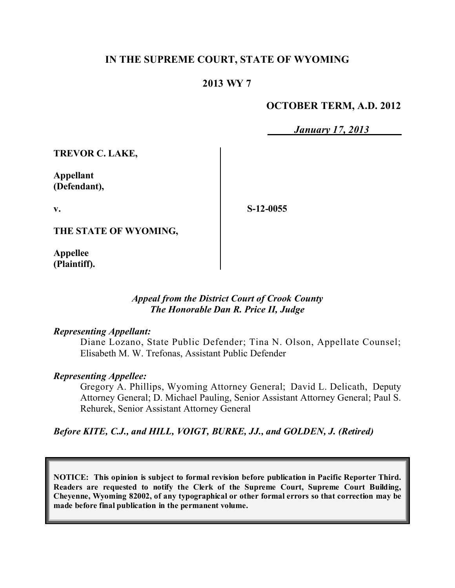## **IN THE SUPREME COURT, STATE OF WYOMING**

## **2013 WY 7**

### **OCTOBER TERM, A.D. 2012**

*January 17, 2013*

**TREVOR C. LAKE,**

**Appellant (Defendant),**

**v.**

**S-12-0055**

**THE STATE OF WYOMING,**

**Appellee (Plaintiff).**

### *Appeal from the District Court of Crook County The Honorable Dan R. Price II, Judge*

#### *Representing Appellant:*

Diane Lozano, State Public Defender; Tina N. Olson, Appellate Counsel; Elisabeth M. W. Trefonas, Assistant Public Defender

#### *Representing Appellee:*

Gregory A. Phillips, Wyoming Attorney General; David L. Delicath, Deputy Attorney General; D. Michael Pauling, Senior Assistant Attorney General; Paul S. Rehurek, Senior Assistant Attorney General

### *Before KITE, C.J., and HILL, VOIGT, BURKE, JJ., and GOLDEN, J. (Retired)*

**NOTICE: This opinion is subject to formal revision before publication in Pacific Reporter Third. Readers are requested to notify the Clerk of the Supreme Court, Supreme Court Building, Cheyenne, Wyoming 82002, of any typographical or other formal errors so that correction may be made before final publication in the permanent volume.**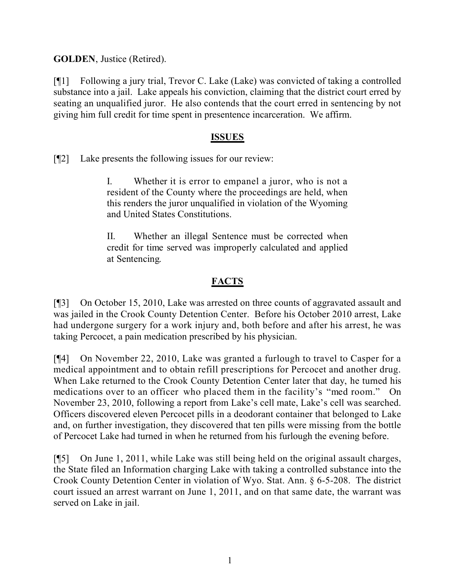**GOLDEN**, Justice (Retired).

[¶1] Following a jury trial, Trevor C. Lake (Lake) was convicted of taking a controlled substance into a jail. Lake appeals his conviction, claiming that the district court erred by seating an unqualified juror. He also contends that the court erred in sentencing by not giving him full credit for time spent in presentence incarceration. We affirm.

## **ISSUES**

[¶2] Lake presents the following issues for our review:

I. Whether it is error to empanel a juror, who is not a resident of the County where the proceedings are held, when this renders the juror unqualified in violation of the Wyoming and United States Constitutions.

II. Whether an illegal Sentence must be corrected when credit for time served was improperly calculated and applied at Sentencing.

# **FACTS**

[¶3] On October 15, 2010, Lake was arrested on three counts of aggravated assault and was jailed in the Crook County Detention Center. Before his October 2010 arrest, Lake had undergone surgery for a work injury and, both before and after his arrest, he was taking Percocet, a pain medication prescribed by his physician.

[¶4] On November 22, 2010, Lake was granted a furlough to travel to Casper for a medical appointment and to obtain refill prescriptions for Percocet and another drug. When Lake returned to the Crook County Detention Center later that day, he turned his medications over to an officer who placed them in the facility's "med room." On November 23, 2010, following a report from Lake's cell mate, Lake's cell was searched. Officers discovered eleven Percocet pills in a deodorant container that belonged to Lake and, on further investigation, they discovered that ten pills were missing from the bottle of Percocet Lake had turned in when he returned from his furlough the evening before.

[¶5] On June 1, 2011, while Lake was still being held on the original assault charges, the State filed an Information charging Lake with taking a controlled substance into the Crook County Detention Center in violation of Wyo. Stat. Ann. § 6-5-208. The district court issued an arrest warrant on June 1, 2011, and on that same date, the warrant was served on Lake in jail.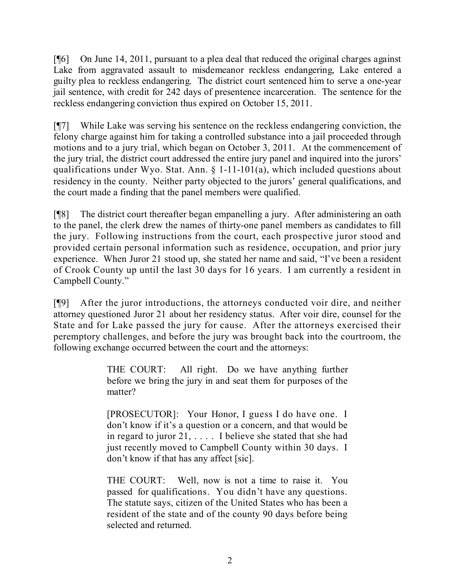[¶6] On June 14, 2011, pursuant to a plea deal that reduced the original charges against Lake from aggravated assault to misdemeanor reckless endangering, Lake entered a guilty plea to reckless endangering. The district court sentenced him to serve a one-year jail sentence, with credit for 242 days of presentence incarceration. The sentence for the reckless endangering conviction thus expired on October 15, 2011.

[¶7] While Lake was serving his sentence on the reckless endangering conviction, the felony charge against him for taking a controlled substance into a jail proceeded through motions and to a jury trial, which began on October 3, 2011. At the commencement of the jury trial, the district court addressed the entire jury panel and inquired into the jurors' qualifications under Wyo. Stat. Ann. § 1-11-101(a), which included questions about residency in the county. Neither party objected to the jurors' general qualifications, and the court made a finding that the panel members were qualified.

[¶8] The district court thereafter began empanelling a jury. After administering an oath to the panel, the clerk drew the names of thirty-one panel members as candidates to fill the jury. Following instructions from the court, each prospective juror stood and provided certain personal information such as residence, occupation, and prior jury experience. When Juror 21 stood up, she stated her name and said, "I've been a resident of Crook County up until the last 30 days for 16 years. I am currently a resident in Campbell County."

[¶9] After the juror introductions, the attorneys conducted voir dire, and neither attorney questioned Juror 21 about her residency status. After voir dire, counsel for the State and for Lake passed the jury for cause. After the attorneys exercised their peremptory challenges, and before the jury was brought back into the courtroom, the following exchange occurred between the court and the attorneys:

> THE COURT: All right. Do we have anything further before we bring the jury in and seat them for purposes of the matter?

> [PROSECUTOR]: Your Honor, I guess I do have one. I don't know if it's a question or a concern, and that would be in regard to juror 21, . . . . I believe she stated that she had just recently moved to Campbell County within 30 days. I don't know if that has any affect [sic].

> THE COURT: Well, now is not a time to raise it. You passed for qualifications. You didn't have any questions. The statute says, citizen of the United States who has been a resident of the state and of the county 90 days before being selected and returned.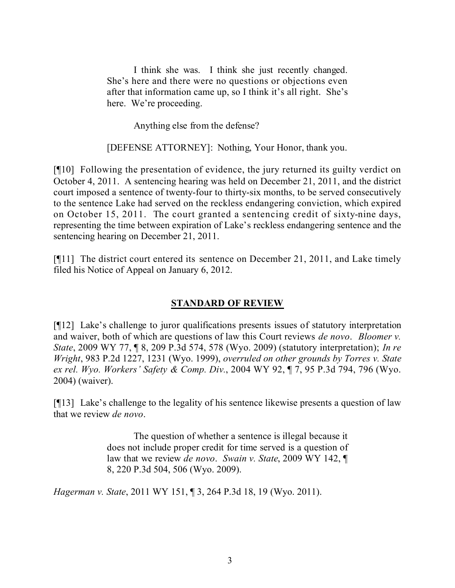I think she was. I think she just recently changed. She's here and there were no questions or objections even after that information came up, so I think it's all right. She's here. We're proceeding.

Anything else from the defense?

[DEFENSE ATTORNEY]: Nothing, Your Honor, thank you.

[¶10] Following the presentation of evidence, the jury returned its guilty verdict on October 4, 2011. A sentencing hearing was held on December 21, 2011, and the district court imposed a sentence of twenty-four to thirty-six months, to be served consecutively to the sentence Lake had served on the reckless endangering conviction, which expired on October 15, 2011. The court granted a sentencing credit of sixty-nine days, representing the time between expiration of Lake's reckless endangering sentence and the sentencing hearing on December 21, 2011.

[¶11] The district court entered its sentence on December 21, 2011, and Lake timely filed his Notice of Appeal on January 6, 2012.

### **STANDARD OF REVIEW**

[¶12] Lake's challenge to juror qualifications presents issues of statutory interpretation and waiver, both of which are questions of law this Court reviews *de novo*. *Bloomer v. State*, 2009 WY 77, ¶ 8, 209 P.3d 574, 578 (Wyo. 2009) (statutory interpretation); *In re Wright*, 983 P.2d 1227, 1231 (Wyo. 1999), *overruled on other grounds by Torres v. State ex rel. Wyo. Workers' Safety & Comp. Div.*, 2004 WY 92, ¶ 7, 95 P.3d 794, 796 (Wyo. 2004) (waiver).

[¶13] Lake's challenge to the legality of his sentence likewise presents a question of law that we review *de novo*.

> The question of whether a sentence is illegal because it does not include proper credit for time served is a question of law that we review *de novo*. *Swain v. State*, 2009 WY 142, ¶ 8, 220 P.3d 504, 506 (Wyo. 2009).

*Hagerman v. State*, 2011 WY 151, ¶ 3, 264 P.3d 18, 19 (Wyo. 2011).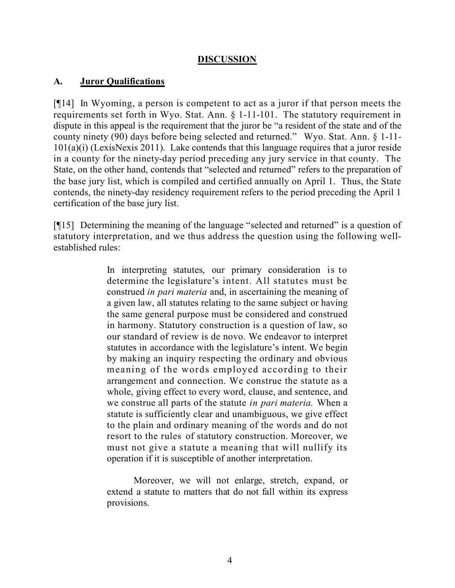### **DISCUSSION**

### **A. Juror Qualifications**

[¶14] In Wyoming, a person is competent to act as a juror if that person meets the requirements set forth in Wyo. Stat. Ann. § 1-11-101. The statutory requirement in dispute in this appeal is the requirement that the juror be "a resident of the state and of the county ninety (90) days before being selected and returned." Wyo. Stat. Ann. § 1-11- 101(a)(i) (LexisNexis 2011). Lake contends that this language requires that a juror reside in a county for the ninety-day period preceding any jury service in that county. The State, on the other hand, contends that "selected and returned" refers to the preparation of the base jury list, which is compiled and certified annually on April 1. Thus, the State contends, the ninety-day residency requirement refers to the period preceding the April 1 certification of the base jury list.

[¶15] Determining the meaning of the language "selected and returned" is a question of statutory interpretation, and we thus address the question using the following wellestablished rules:

> In interpreting statutes, our primary consideration is to determine the legislature's intent. All statutes must be construed *in pari materia* and, in ascertaining the meaning of a given law, all statutes relating to the same subject or having the same general purpose must be considered and construed in harmony. Statutory construction is a question of law, so our standard of review is de novo. We endeavor to interpret statutes in accordance with the legislature's intent. We begin by making an inquiry respecting the ordinary and obvious meaning of the words employed according to their arrangement and connection. We construe the statute as a whole, giving effect to every word, clause, and sentence, and we construe all parts of the statute *in pari materia.* When a statute is sufficiently clear and unambiguous, we give effect to the plain and ordinary meaning of the words and do not resort to the rules of statutory construction. Moreover, we must not give a statute a meaning that will nullify its operation if it is susceptible of another interpretation.

Moreover, we will not enlarge, stretch, expand, or extend a statute to matters that do not fall within its express provisions.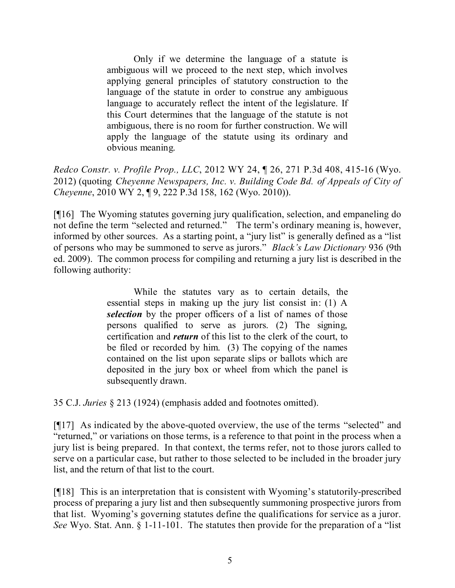Only if we determine the language of a statute is ambiguous will we proceed to the next step, which involves applying general principles of statutory construction to the language of the statute in order to construe any ambiguous language to accurately reflect the intent of the legislature. If this Court determines that the language of the statute is not ambiguous, there is no room for further construction. We will apply the language of the statute using its ordinary and obvious meaning.

*Redco Constr. v. Profile Prop., LLC*, 2012 WY 24, ¶ 26, 271 P.3d 408, 415-16 (Wyo. 2012) (quoting *Cheyenne Newspapers, Inc. v. Building Code Bd. of Appeals of City of Cheyenne*, 2010 WY 2, ¶ 9, 222 P.3d 158, 162 (Wyo. 2010)).

[¶16] The Wyoming statutes governing jury qualification, selection, and empaneling do not define the term "selected and returned." The term's ordinary meaning is, however, informed by other sources. As a starting point, a "jury list" is generally defined as a "list of persons who may be summoned to serve as jurors." *Black's Law Dictionary* 936 (9th ed. 2009). The common process for compiling and returning a jury list is described in the following authority:

> While the statutes vary as to certain details, the essential steps in making up the jury list consist in: (1) A *selection* by the proper officers of a list of names of those persons qualified to serve as jurors. (2) The signing, certification and *return* of this list to the clerk of the court, to be filed or recorded by him. (3) The copying of the names contained on the list upon separate slips or ballots which are deposited in the jury box or wheel from which the panel is subsequently drawn.

35 C.J. *Juries* § 213 (1924) (emphasis added and footnotes omitted).

[¶17] As indicated by the above-quoted overview, the use of the terms "selected" and "returned," or variations on those terms, is a reference to that point in the process when a jury list is being prepared. In that context, the terms refer, not to those jurors called to serve on a particular case, but rather to those selected to be included in the broader jury list, and the return of that list to the court.

[¶18] This is an interpretation that is consistent with Wyoming's statutorily-prescribed process of preparing a jury list and then subsequently summoning prospective jurors from that list. Wyoming's governing statutes define the qualifications for service as a juror. *See* Wyo. Stat. Ann. § 1-11-101. The statutes then provide for the preparation of a "list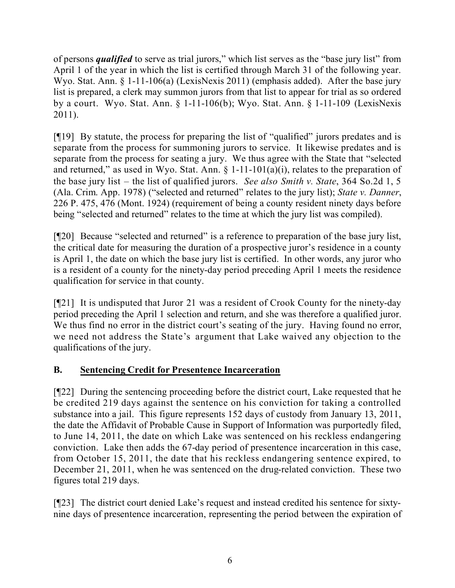of persons *qualified* to serve as trial jurors," which list serves as the "base jury list" from April 1 of the year in which the list is certified through March 31 of the following year. Wyo. Stat. Ann. § 1-11-106(a) (LexisNexis 2011) (emphasis added). After the base jury list is prepared, a clerk may summon jurors from that list to appear for trial as so ordered by a court. Wyo. Stat. Ann. § 1-11-106(b); Wyo. Stat. Ann. § 1-11-109 (LexisNexis 2011).

[¶19] By statute, the process for preparing the list of "qualified" jurors predates and is separate from the process for summoning jurors to service. It likewise predates and is separate from the process for seating a jury. We thus agree with the State that "selected and returned," as used in Wyo. Stat. Ann.  $\S$  1-11-101(a)(i), relates to the preparation of the base jury list – the list of qualified jurors. *See also Smith v. State*, 364 So.2d 1, 5 (Ala. Crim. App. 1978) ("selected and returned" relates to the jury list); *State v. Danner*, 226 P. 475, 476 (Mont. 1924) (requirement of being a county resident ninety days before being "selected and returned" relates to the time at which the jury list was compiled).

[¶20] Because "selected and returned" is a reference to preparation of the base jury list, the critical date for measuring the duration of a prospective juror's residence in a county is April 1, the date on which the base jury list is certified. In other words, any juror who is a resident of a county for the ninety-day period preceding April 1 meets the residence qualification for service in that county.

[¶21] It is undisputed that Juror 21 was a resident of Crook County for the ninety-day period preceding the April 1 selection and return, and she was therefore a qualified juror. We thus find no error in the district court's seating of the jury. Having found no error, we need not address the State's argument that Lake waived any objection to the qualifications of the jury.

## **B. Sentencing Credit for Presentence Incarceration**

[¶22] During the sentencing proceeding before the district court, Lake requested that he be credited 219 days against the sentence on his conviction for taking a controlled substance into a jail. This figure represents 152 days of custody from January 13, 2011, the date the Affidavit of Probable Cause in Support of Information was purportedly filed, to June 14, 2011, the date on which Lake was sentenced on his reckless endangering conviction. Lake then adds the 67-day period of presentence incarceration in this case, from October 15, 2011, the date that his reckless endangering sentence expired, to December 21, 2011, when he was sentenced on the drug-related conviction. These two figures total 219 days.

[¶23] The district court denied Lake's request and instead credited his sentence for sixtynine days of presentence incarceration, representing the period between the expiration of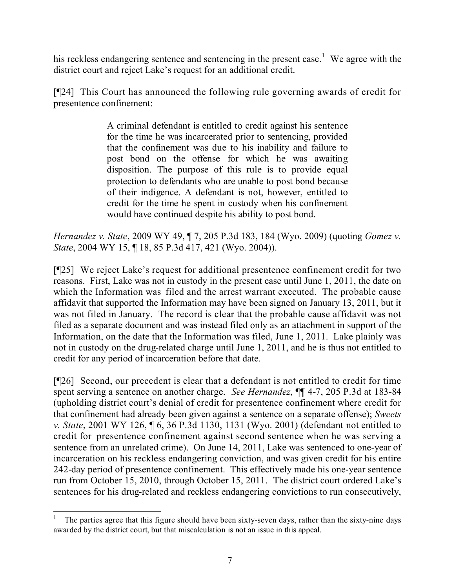his reckless endangering sentence and sentencing in the present case.<sup>1</sup> We agree with the district court and reject Lake's request for an additional credit.

[¶24] This Court has announced the following rule governing awards of credit for presentence confinement:

> A criminal defendant is entitled to credit against his sentence for the time he was incarcerated prior to sentencing, provided that the confinement was due to his inability and failure to post bond on the offense for which he was awaiting disposition. The purpose of this rule is to provide equal protection to defendants who are unable to post bond because of their indigence. A defendant is not, however, entitled to credit for the time he spent in custody when his confinement would have continued despite his ability to post bond.

*Hernandez v. State*, 2009 WY 49, ¶ 7, 205 P.3d 183, 184 (Wyo. 2009) (quoting *Gomez v. State*, 2004 WY 15, ¶ 18, 85 P.3d 417, 421 (Wyo. 2004)).

[¶25] We reject Lake's request for additional presentence confinement credit for two reasons. First, Lake was not in custody in the present case until June 1, 2011, the date on which the Information was filed and the arrest warrant executed. The probable cause affidavit that supported the Information may have been signed on January 13, 2011, but it was not filed in January. The record is clear that the probable cause affidavit was not filed as a separate document and was instead filed only as an attachment in support of the Information, on the date that the Information was filed, June 1, 2011. Lake plainly was not in custody on the drug-related charge until June 1, 2011, and he is thus not entitled to credit for any period of incarceration before that date.

[¶26] Second, our precedent is clear that a defendant is not entitled to credit for time spent serving a sentence on another charge. *See Hernandez*, ¶¶ 4-7, 205 P.3d at 183-84 (upholding district court's denial of credit for presentence confinement where credit for that confinement had already been given against a sentence on a separate offense); *Sweets v. State*, 2001 WY 126, ¶ 6, 36 P.3d 1130, 1131 (Wyo. 2001) (defendant not entitled to credit for presentence confinement against second sentence when he was serving a sentence from an unrelated crime). On June 14, 2011, Lake was sentenced to one-year of incarceration on his reckless endangering conviction, and was given credit for his entire 242-day period of presentence confinement. This effectively made his one-year sentence run from October 15, 2010, through October 15, 2011. The district court ordered Lake's sentences for his drug-related and reckless endangering convictions to run consecutively,

 $\overline{a}$ <sup>1</sup> The parties agree that this figure should have been sixty-seven days, rather than the sixty-nine days awarded by the district court, but that miscalculation is not an issue in this appeal.